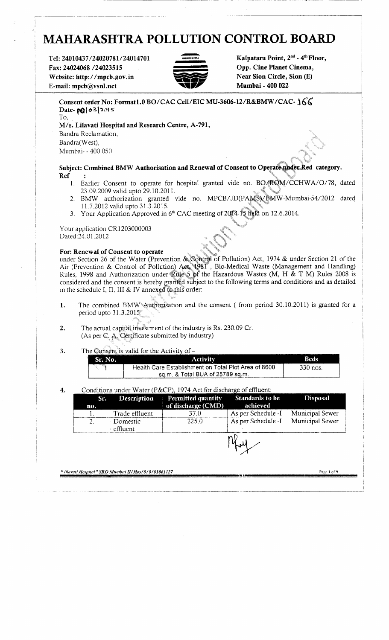# **MAHARASHTRA POLLUTION CONTROL BOARD**

**Tel: 24010437/24020781/24014701 Fax: 24024068 /24023515 Website: http://mpcb.gov.in E-mail: mpcb@vsnl.net**



**Kalpataru Point, 2nd - 4th Floor, Opp. Cine Planet Cinema, Near Sion Circle, Sion (E) Mumbai - 400 022**

| Consent order No: Format1.0 BO/CAC Cell/EIC MU-3606-12/R&BMW/CAC- 166 |
|-----------------------------------------------------------------------|
| Date-polo3 2015                                                       |
| To                                                                    |
| M/s. Lilavati Hospital and Research Centre, A-791,                    |
| r.<br>Bandra Reclamation,                                             |
| Bandra(West),                                                         |
| Mumbai - 400 050.                                                     |
|                                                                       |

**Subject: Combined BMW Authorisation and Renewal of Consent to Operate under Red category. Ref :**

- 1. Earlier Consent to operate for hospital granted vide no. BO/ROM/CCHWA/O/78, dated 23.09.2009 valid upto 29.10.2011.
- 2. BMW authorization granted vide no. MPCB/JD(PAMS)/BMW-Mumbai-54/2012 dated 11.7.2012 valid upto 31.3.2015.
- 3. Your Application Approved in 6<sup>th</sup> CAC meeting of 2014-15 held on 12.6.2014.

Your application CR1 203000003 Dated:24.01.2012

For: Renewal of Consent to operate under Section 26 of the Water (Prevention & Control of Pollution) Act, 1974 & under Section 21 of the Air (Prevention & Control of Pollution) Act, '1981 , Bio-Medical Waste (Management and Handling) Rules, 1998 and Authorization under Rule 5 of the Hazardous Wastes (M, H & T M) Rules 2008 is considered and the consent is hereby granted subject to the following terms and conditions and as detailed m the schedule I, II, III & IV annexed to this order:

- **1.** The combined BMW Authorisation and the consent ( from period 30.10.2011) is granted for a period upto 31.3.2015
- 2. The actual capital investment of the industry is Rs. 230.09 Cr. (As per C. A. Certificate submitted by industry)

**3.** The Consent is valid for the Activity of -

| Sr. No. | <b>Activity</b>                                      | <b>Beds</b> |
|---------|------------------------------------------------------|-------------|
| - 1989) | Health Care Establishment on Total Plot Area of 8600 | $330$ nos.  |
|         | sq.m. & Total BUA of 25789 sq.m.                     |             |

#### 4. Conditions under Water (P&CP), 1974 Act for discharge of effluent:

| Sr. | <b>Description</b>   | <b>Permitted quantity</b> | <b>Standards to be</b> | <b>Disposal</b> |
|-----|----------------------|---------------------------|------------------------|-----------------|
| no. |                      | of discharge (CMD)        | achieved               |                 |
|     | Trade effluent       | 37.0                      | As per Schedule -I     | Municipal Sewer |
|     | Domestic<br>effluent | 225.0                     | As per Schedule -I     | Municipal Sewer |
|     |                      |                           |                        |                 |

**"** *lilavati Hospital" SRO Mumbai n/Hos/0/0/01061127* **Page 1 of!)**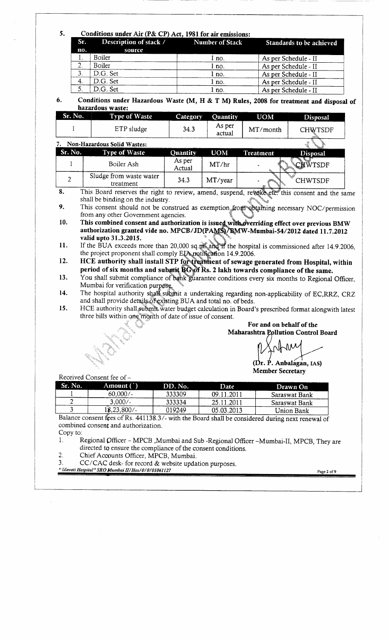#### **5. Conditions under Air (P& CP) Act, 1981 for air emissions:**

|     | Constitution where the term of first, it of the differential |       |                          |
|-----|--------------------------------------------------------------|-------|--------------------------|
|     | Sr. Description of stack / Number of Stack                   |       | Standards to be achieved |
| no. | source                                                       |       |                          |
|     | Boiler                                                       | l no. | As per Schedule - II     |
|     | Boiler                                                       | l no. | As per Schedule - II     |
| 3.  | D.G. Set                                                     | 1 no. | As per Schedule - II     |
| 4.  | D.G. Set                                                     | 1 no. | As per Schedule - II     |
|     | D.G. Set                                                     | l no. | As per Schedule - II     |

**6. Conditions under Hazardous Waste (M, H & T M) Rules, 2008 for treatment and disposal of hazardous waste:**

| Sr. No. | Type of Waste | <b>Category</b> | <b>Ouantity</b>  | <b>UOM</b> | <b>Disposal</b> |  |
|---------|---------------|-----------------|------------------|------------|-----------------|--|
|         | ETP sludge    | 34.3            | As per<br>actual | MT/month   | CHWTSDF         |  |

| Non-Hazardous Solid Wastes: |                                      |                  |            |           |                 |
|-----------------------------|--------------------------------------|------------------|------------|-----------|-----------------|
| Sr. No.                     | Type of Waste                        | Quantity         | <b>UOM</b> | Treatment | <b>Disposal</b> |
|                             | Boiler Ash                           | As per<br>Actual | MT/hr      |           | WTSDF           |
|                             | Sludge from waste water<br>treatment | 34.3             | MT/year    |           | CHWTSDF         |

8. This Board reserves the right to review, amend, suspend, revoke etc. this consent and the same shall be binding on the industry.

9. This consent should not be construed as exemption from obtaining necessary NOC/permission from any other Government agencies.

**10.** This combined consent and authorization is issued with overriding effect over previous BMW **authorization granted vide no. MPCB/JD(PAM\$)/BMW-Mumbai-54/2012 dated 11.7.2012 valid upto 31.3.2015.**

**11.** If the BUA exceeds more than 20,000 sq.ni<sup>k</sup> and if the hospital is commissioned after 14.9.2006, the project proponent shall comply EIA retilication 14.9.2006.

12. HCE authority shall install STP for treatment of sewage generated from Hospital, within **period of six months and submit BG of Rs. 2 lakh towards compliance of the same.**

13. You shall submit compliance of bank guarantee conditions every six months to Regional Officer, Mumbai for verification purpose.

14. The hospital authority shall submit a undertaking regarding non-applicability of EC,RRZ, CRZ and shall provide details of existing BUA and total no. of beds.

**15.** HCE authority shall submit water budget calculation in Board's prescribed format alongwith latest three bills within one'month of date of issue of consent.

> **For and on behalf of the Maharashtra Pollution Control Board**

**(Dr. P. Anbalagan, IAS) Member Secretary**

Received Consent fee of-

| Sr. No.                                                                                          | Amount (`) | DD. No. | Date       | Drawn On      |  |  |  |
|--------------------------------------------------------------------------------------------------|------------|---------|------------|---------------|--|--|--|
|                                                                                                  | 60,000/    | 333309  | 09.11.2011 | Saraswat Bank |  |  |  |
|                                                                                                  | $3.000/-$  | 333334  | 25.11.2011 | Saraswat Bank |  |  |  |
|                                                                                                  | 18,23,800/ | 019249  | 05.03.2013 | Union Bank    |  |  |  |
| Balance consent fees of Rs. 441138.3/- with the Board shall be considered during next renewal of |            |         |            |               |  |  |  |

combined consent and authorization. Copy to:

1. Regional Qfficer - MPCB ,Mumbai and Sub -Regional Officer -Mumbai-II, MPCB, They are directed to ensure the compliance of the consent conditions.

2. Chief Accounts Officer, MPCB, Mumbai.

3. CC/CAC desk- for record & website updation purposes.

**"** *lilavati Hospital" SRO Mumbai H/Hos/0/0/01061127* **Page 2 of 9**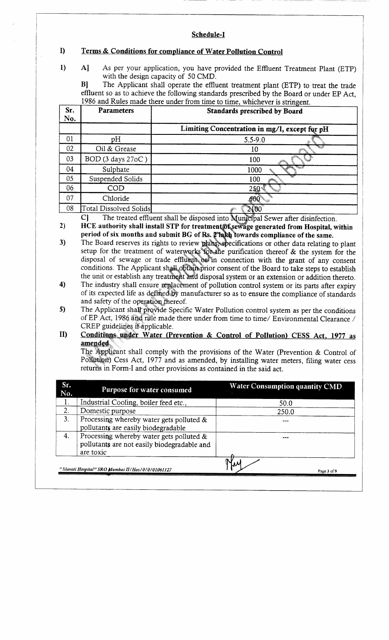#### **Schedule-I**

# **I) Terms & Conditions for compliance of Water Pollution Control**

1) A] As per your application, you have provided the Effluent Treatment Plant (ETP) with the design capacity of 50 CMD.

B] The Applicant shall operate the effluent treatment plant (ETP) to treat the trade effluent so as to achieve the following standards prescribed by the Board or under EP Act, 1986 and Rules made there under from time to time, whichever is stringent.

| Sr.<br>No. | <b>Parameters</b>      | <b>Standards prescribed by Board</b>          |
|------------|------------------------|-----------------------------------------------|
|            |                        | Limiting Concentration in mg/l, except for pH |
| 01         | pH                     | $5.5 - 9.0$                                   |
| 02         | Oil & Grease           | 10                                            |
| 03         | BOD (3 days 27oC)      | 100                                           |
| 04         | Sulphate               | 1000                                          |
| 05         | Suspended Solids       | 100                                           |
| 06         | COD                    | 250                                           |
| 07         | Chloride               |                                               |
| 08         | Total Dissolved Solids | 2100                                          |

C] The treated effluent shall be disposed into *tyunicipal* Sewer after disinfection.

2) HCE authority shall install STP for treatment of sewage generated from Hospital, within period of six months and submit BG of Rs. 2 hard towards compliance of the same.

- 3) The Board reserves its rights to review **plans, specifications** or other data relating to plant setup for the treatment of waterworks for the purification thereof  $\&$  the system for the disposal of sewage or trade effluent of in connection with the grant of any consent conditions. The Applicant shall obtain prior consent of the Board to take steps to establish the unit or establish any treatment and disposal system or an extension or addition thereto.
- 4) The industry shall ensure replacement of pollution control system or its parts after expiry of its expected life as defined by manufacturer so as to ensure the compliance of standards and safety of the operation thereof.
- 5) The Applicant shall provide Specific Water Pollution control system as per the conditions of EP Act, 1986 and rule made there under from time to time/ Environmental Clearance / CREP guidelines if applicable.
- **ID Conditions under Water (Prevention & Control of Pollution) CESS Act. 1977 as amended**

The Applicant shall comply with the provisions of the Water (Prevention & Control of Pollution) Cess Act, 1977 and as amended, by installing water meters, filing water cess returns in Form-I and other provisions as contained in the said act.

| Sr.<br>No. | Purpose for water consumed                                                                              | <b>Water Consumption quantity CMD</b> |
|------------|---------------------------------------------------------------------------------------------------------|---------------------------------------|
|            | Industrial Cooling, boiler feed etc.,                                                                   | 50.0                                  |
| 2.         | Domestic purpose                                                                                        | 250.0                                 |
| 3.         | Processing whereby water gets polluted $\&$<br>pollutants are easily biodegradable                      |                                       |
| 4.         | Processing whereby water gets polluted $\&$<br>pollutants are not easily biodegradable and<br>are toxic |                                       |
|            | "Iilavati Hospital" SRO Mumbai II/Hos/0/0/01061127                                                      | Page 3 of 9                           |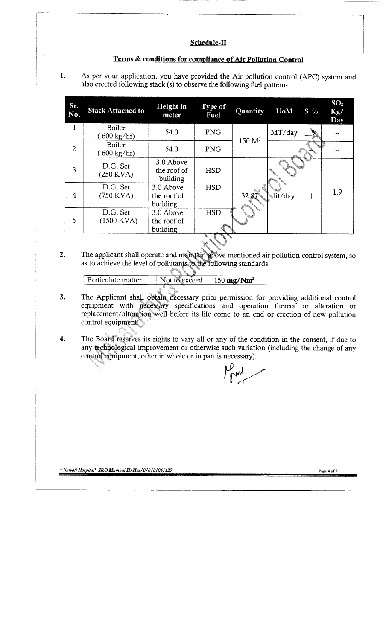#### **Schedule-II**

#### **Terms & conditions for compliance of Air Pollution Control**

1. As per your application, you have provided the Air pollution control (APC) system and also erected following stack (s) to observe the following fuel pattern-

| Sr.<br>No.     | <b>Stack Attached to</b>      | Height in<br>meter                   | Type of<br>Fuel  | Quantity           | <b>UoM</b> | $S\sqrt[9]{\cdot}$          | SO <sub>2</sub><br>Kg/<br>Day |
|----------------|-------------------------------|--------------------------------------|------------------|--------------------|------------|-----------------------------|-------------------------------|
| 1              | Boiler<br>$600 \text{ kg/hr}$ | 54.0                                 | <b>PNG</b>       | 150 M <sup>3</sup> | MT/day     | $\mathcal{D}_{\mathcal{A}}$ |                               |
| $\overline{2}$ | Boiler<br>$600 \text{ kg/hr}$ | 54.0                                 | <b>PNG</b>       |                    |            |                             |                               |
| 3              | D.G. Set<br>$(250$ KVA)       | 3.0 Above<br>the roof of<br>building | <b>HSD</b>       |                    |            |                             |                               |
| 4              | D.G. Set<br>$(750$ KVA)       | 3.0 Above<br>the roof of<br>building | <b>HSD</b>       |                    | lit/day.   |                             | 1.9                           |
| 5              | D.G. Set<br>$(1500$ KVA)      | 3.0 Above<br>the roof of<br>building | <b>HSD</b><br>۰, |                    |            |                             |                               |

2. The applicant shall operate and maintain above mentioned air pollution control system, so as to achieve the level of pollutants to the following standards:

Particulate matter Not to exceed 150 mg/Nm<sup>3</sup>

- 3. The Applicant shall obtain necessary prior permission for providing additional control equipment with necessary specifications and operation thereof or alteration or replacement/alteration well before its life come to an end or erection of new pollution control equipment.
- 4. The Board reserves its rights to vary all or any of the condition in the consent, if due to any technological improvement or otherwise such variation (including the change of any control equipment, other in whole or in part is necessary).

**"** *lilavati Hospital" SRO Mumbai H/Hos/0/0/01061127* **Page 4 of 9**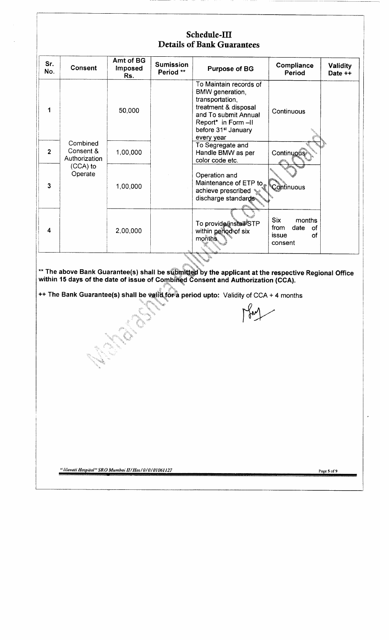# Schedule-III **Details of Bank Guarantees**

| Sr.<br>No.     | <b>Consent</b>                         | Amt of BG<br><b>Imposed</b><br>Rs. | <b>Sumission</b><br>Period ** | <b>Purpose of BG</b>                                                                                                                                                                 | Compliance<br>Period                                                 | Validity<br>Date ++ |
|----------------|----------------------------------------|------------------------------------|-------------------------------|--------------------------------------------------------------------------------------------------------------------------------------------------------------------------------------|----------------------------------------------------------------------|---------------------|
| 1              |                                        | 50,000                             |                               | To Maintain records of<br>BMW generation,<br>transportation,<br>treatment & disposal<br>and To submit Annual<br>Report* in Form -II<br>before 31 <sup>st</sup> January<br>every year | Continuous                                                           |                     |
| $\overline{2}$ | Combined<br>Consent &<br>Authorization | 1,00,000                           |                               | To Segregate and<br>Handle BMW as per<br>color code etc.                                                                                                                             | <b>Continuous</b>                                                    |                     |
| $\mathbf{3}$   | $(CCA)$ to<br>Operate                  | 1,00,000                           |                               | Operation and<br>Maintenance of ETP to Continuous<br>achieve prescribed s<br>discharge standards                                                                                     |                                                                      |                     |
| 4              |                                        | 2,00,000                           |                               | To provide/install STP<br>within period of six<br>months.                                                                                                                            | <b>Six</b><br>months<br>from<br>date<br>of<br>issue<br>of<br>consent |                     |

**\*\* The above Bank Guarantee(s) shall be submitted by the applicant at the respective Regional Office within 15 days of the date of issue of Combined Consent and Authorization (CCA).**

**++ The Bank Guarantee(s) shall be valfd,for a period upto: Validity of CCA + 4 months**

*' lilavati Hospital" SRO Mumbai HI Host 0/0101061127* Page 5 of 9

ANG PARTICULAR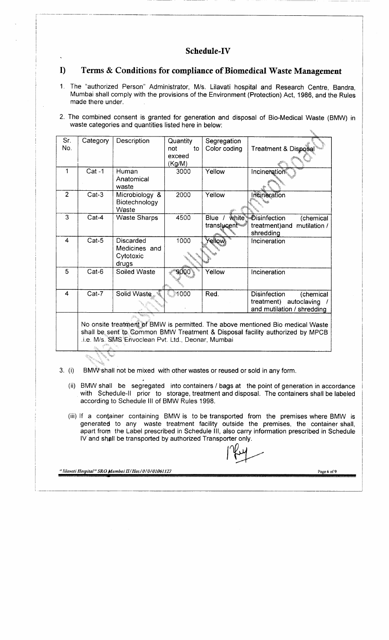### **Schedule-IV**

#### **I) Terms & Conditions for compliance of Biomedical Waste Management**

- 1. The "authorized Person" Administrator, M/s. Lilavati hospital and Research Centre, Bandra, Mumbai shall comply with the provisions of the Environment (Protection) Act, 1986, and the Rules made there under.
- 2. The combined consent is granted for generation and disposal of Bio-Medical Waste (BMW) in waste categories and quantities listed here in below:

| Sr.            | Category | Description         | Quantity  | Segregation  |                                        |
|----------------|----------|---------------------|-----------|--------------|----------------------------------------|
| No.            |          |                     | to<br>not | Color coding | Treatment & Disposal                   |
|                |          |                     | exceed    |              |                                        |
|                |          |                     | (Kg/M)    |              |                                        |
| 1              | Cat-1    | Human               | 3000      | Yellow       | Incineration                           |
|                |          | Anatomical          |           |              |                                        |
|                |          | waste               |           |              |                                        |
| $\overline{2}$ | $Cat-3$  | Microbiology &      | 2000      | Yellow       | Incineration                           |
|                |          | Biotechnology       |           |              |                                        |
|                |          | Waste               |           |              |                                        |
| 3              | $Cat-4$  | <b>Waste Sharps</b> | 4500      | Blue         | white <i>Disinfection</i><br>(chemical |
|                |          |                     |           | translucent  | mutilation /<br>treatment)and          |
|                |          |                     |           |              | shredding                              |
| 4              | Cat-5    | <b>Discarded</b>    | 1000      | ŕellow       | Incineration                           |
|                |          | Medicines and       |           |              |                                        |
|                |          | Cytotoxic           |           |              |                                        |
|                |          | drugs               |           |              |                                        |
| 5              | Cat-6    | Soiled Waste        |           | Yellow       | Incineration                           |
|                |          |                     |           |              |                                        |
|                |          |                     |           |              |                                        |
| 4              | Cat-7    | Solid Waste         | 1000      | Red.         | Disinfection<br>(chemical              |
|                |          |                     |           |              | autoclaving<br>treatment)              |
|                |          |                     |           |              | and mutilation / shredding             |
|                |          |                     |           |              |                                        |

No onsite treatment of BMW is permitted. The above mentioned Bio medical Waste shall be sent to Common BMW Treatment & Disposal facility authorized by MPCB .i.e. M/s. SMS Envoclean Pvt. Ltd., Deonar, Mumbai

- 3. (i) BMW'shall not be mixed with other wastes or reused or sold in any form.
	- (ii) BMW shall be segregated into containers / bags at the point of generation in accordance with Schedule-ll prior to storage, treatment and disposal. The containers shall be labeled according to Schedule III of BMW Rules 1998.
	- (iii) If a container containing BMW is to be transported from the premises where BMW is generated to any waste treatment facility outside the premises, the container shall, apart from the Label prescribed in Schedule III, also carry information prescribed in Schedule IV and shell be transported by authorized Transporter only.

*'lilavati Hospital" SRO Mumbai n/Hos/O/O/01061127* Page 6 of 9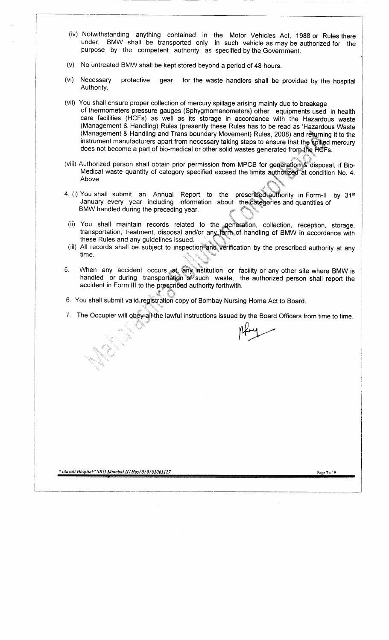- (iv) Notwithstanding anything contained in the Motor Vehicles Act, 1988 or Rules there under, BMW shall be transported only in such vehicle as may be authorized for the purpose by the competent authority as specified by the Government.
- (v) No untreated BMW shall be kept stored beyond a period of 48 hours.
- (vi) Necessary protective gear for the waste handlers shall be provided by the hospital Authority.
- (vii) You shall ensure proper collection of mercury spillage arising mainly due to breakage of thermometers pressure gauges (Sphygmomanometers) other equipments used in health care facilities (HCFs) as well as its storage in accordance with the Hazardous waste (Management & Handling) Rules (presently these Rules has to be read as 'Hazardous Waste (Management & Handling and Trans boundary Movement) Rules, 2008) and retyrning it to the instrument manufacturers apart from necessary taking steps to ensure that the spilled mercury does not become a part of bio-medical or other solid wastes generated from the HCFs.
- (viii) Authorized person shall obtain prior permission from MPCB for generation & disposal, if Bio-Medical waste quantity of category specified exceed the limits authorized at condition No. 4. Above
- 4. (i) You shall submit an Annual Report to the prescribed authority in Form-ll by 31st January every year including information about the categories and quantities of BMW handled during the preceding year.
- ii) You shall maintain records related to the generation, collection, reception, storage, transportation, treatment, disposal and/or any form of handling of BMW in accordance with these Rules and any guidelines issued.
- (iii) All records shall be subject to inspection and, verification by the prescribed authority at any time.
- 5. When any accident occurs at any institution or facility or any other site where BMW is handled or during transportation of such waste, the authorized person shall report the accident in Form III to the prescribed authority forthwith.
- 6. You shall submit valid registration copy of Bombay Nursing Home Act to Board.

7. The Occupier will obey all the lawful instructions issued by the Board Officers from time to time.

" *lilavati Hospital" SRO Mumbai H/Hos/0/0/01061127* Page 7 of 9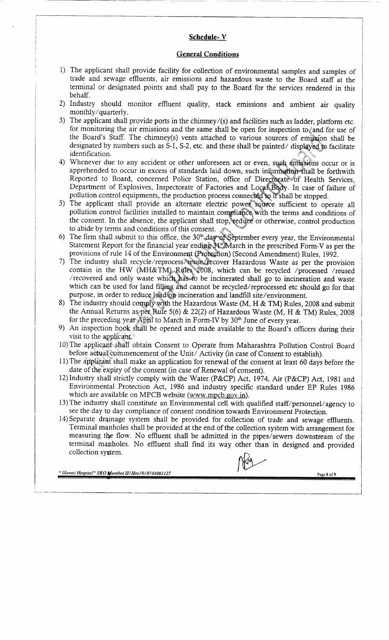#### **Schedule- V**

#### **General Conditions**

- 1) The applicant shall provide facility for collection of environmental samples and samples of trade and sewage effluents, air emissions and hazardous waste to the Board staff at the terminal or designated points and shall pay to the Board for the services rendered in this behalf.
- 2) Industry should monitor effluent quality, stack emissions and ambient air quality monthly / quarterly.
- 3) The applicant shall provide ports in the chimney/(s) and facilities such as ladder, platform etc. for monitoring the air emissions and the same shall be open for inspection to  $\zeta$  and for use of the Board's Staff. The chimney(s) vents attached to various sources of emission shall be designated by numbers such as S-l, S-2, etc. and these shall be painted/ displayed to facilitate identification.
- 4) Whenever due to any accident or other unforeseen act or even, such emissions occur or is apprehended to occur in excess of standards laid down, such information shall be forthwith Reported to Board, concerned Police Station, office of Directorate of Health Services, Department of Explosives, Inspectorate of Factories and Local Body. In case of failure of pollution control equipments, the production process connected to it shall be stopped.
- 5) The applicant shall provide an alternate electric power source sufficient to operate all pollution control facilities installed to maintain compliance with the terms and conditions of the consent. In the absence, the applicant shall stop, reduce or otherwise, control production to abide by terms and conditions of this consent.
- 6) The firm shall submit to this office, the  $30<sup>th</sup>$  day of September every year, the Environmental Statement Report for the financial year ending 31st March in the prescribed Form-V as per the provisions of rule 14 of the Environment (Protection) (Second Amendment) Rules, 1992.
- 7) The industry shall recycle/reprocess/reuse/jfecover Hazardous Waste as per the provision contain in the HW (MH&TM) Rules 2008, which can be recycled /processed /reused /recovered and only waste which has to be incinerated shall go to incineration and waste which can be used for land filjiag and cannot be recycled/reprocessed etc should go for that purpose, in order to reduce load'oa incineration and landfill site/environment.
- 8) The industry should comply with the Hazardous Waste (M, H & TM) Rules, 2008 and submit the Annual Returns as per Rule 5(6) & 22(2) of Hazardous Waste (M, H & TM) Rules, 2008 for the preceding year April to March in Form-IV by  $30<sup>th</sup>$  June of every year.
- 9) An inspection book shall be opened and made available to the Board's officers during their visit to the applicant.
- 10) The applicant shall obtain Consent to Operate from Maharashtra Pollution Control Board before actual commencement of the Unit/ Activity (in case of Consent to establish).
- 11) The applicant shall make an application for renewal of the consent at least 60 days before the date of the expiry of the consent (in case of Renewal of consent).
- 12) Industry shall strictly comply with the Water (P&CP) Act, 1974, Air (P&CP) Act, 1981 and Environmental Protection Act, 1986 and industry specific standard under EP Rules 1986 which are available on MPCB website (www.mpcb.gov.in).
- 13) The industry shall constitute an Environmental cell with qualified staff/personnel/agency to see the day to day compliance of consent condition towards Environment Protection.
- 14) Separate drainage system shall be provided for collection of trade and sewage effluents. Terminal manholes shall be provided at the end of the collection system with arrangement for measuring the flow. No effluent shall be admitted in the pipes/sewers downstream of the terminal manholes. No effluent shall find its way other than in designed and provided collection system.

*" lilavati Hospital" SRO Mumbai H/Hos/0/0/01061127*